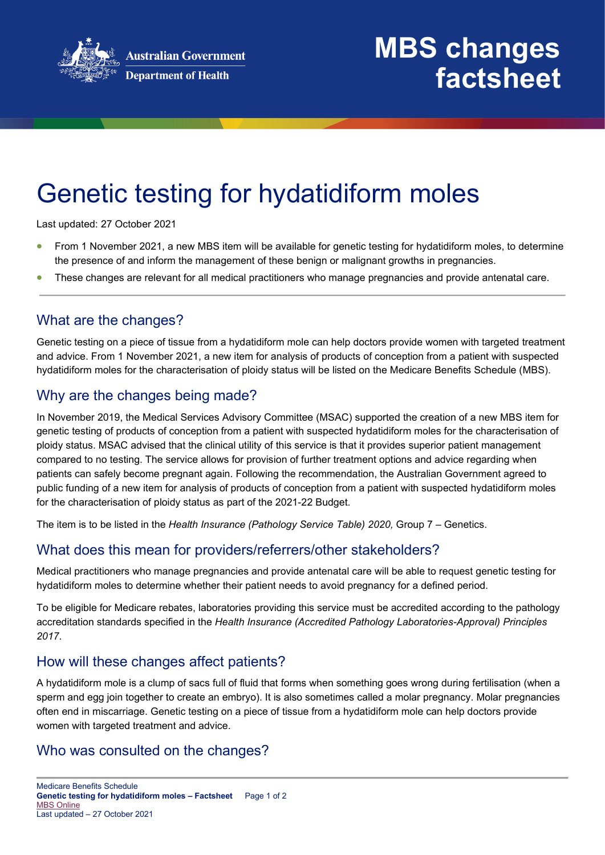

## **MBS changes factsheet**

# Genetic testing for hydatidiform moles

Last updated: 27 October 2021

- From 1 November 2021, a new MBS item will be available for genetic testing for hydatidiform moles, to determine the presence of and inform the management of these benign or malignant growths in pregnancies.
- These changes are relevant for all medical practitioners who manage pregnancies and provide antenatal care.

### What are the changes?

Genetic testing on a piece of tissue from a hydatidiform mole can help doctors provide women with targeted treatment and advice. From 1 November 2021, a new item for analysis of products of conception from a patient with suspected hydatidiform moles for the characterisation of ploidy status will be listed on the Medicare Benefits Schedule (MBS).

## Why are the changes being made?

In November 2019, the Medical Services Advisory Committee (MSAC) supported the creation of a new MBS item for genetic testing of products of conception from a patient with suspected hydatidiform moles for the characterisation of ploidy status. MSAC advised that the clinical utility of this service is that it provides superior patient management compared to no testing. The service allows for provision of further treatment options and advice regarding when patients can safely become pregnant again. Following the recommendation, the Australian Government agreed to public funding of a new item for analysis of products of conception from a patient with suspected hydatidiform moles for the characterisation of ploidy status as part of the 2021-22 Budget.

The item is to be listed in the *Health Insurance (Pathology Service Table) 2020,* Group 7 – Genetics.

## What does this mean for providers/referrers/other stakeholders?

Medical practitioners who manage pregnancies and provide antenatal care will be able to request genetic testing for hydatidiform moles to determine whether their patient needs to avoid pregnancy for a defined period.

To be eligible for Medicare rebates, laboratories providing this service must be accredited according to the pathology accreditation standards specified in the *Health Insurance (Accredited Pathology Laboratories-Approval) Principles 2017*.

#### How will these changes affect patients?

A hydatidiform mole is a clump of sacs full of fluid that forms when something goes wrong during fertilisation (when a sperm and egg join together to create an embryo). It is also sometimes called a molar pregnancy. Molar pregnancies often end in miscarriage. Genetic testing on a piece of tissue from a hydatidiform mole can help doctors provide women with targeted treatment and advice.

#### Who was consulted on the changes?